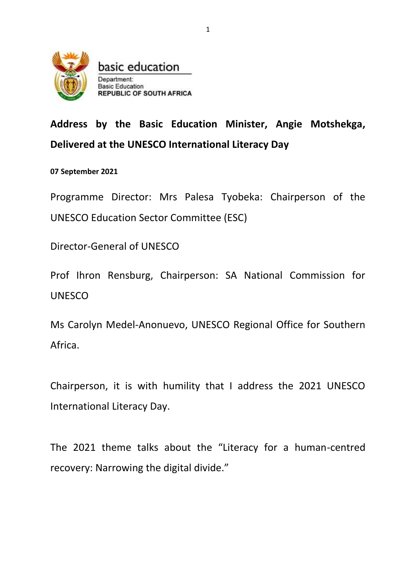

basic education Department: **Basic Education REPUBLIC OF SOUTH AFRICA** 

**Address by the Basic Education Minister, Angie Motshekga, Delivered at the UNESCO International Literacy Day** 

**07 September 2021** 

Programme Director: Mrs Palesa Tyobeka: Chairperson of the UNESCO Education Sector Committee (ESC)

Director-General of UNESCO

Prof Ihron Rensburg, Chairperson: SA National Commission for UNESCO

Ms Carolyn Medel-Anonuevo, UNESCO Regional Office for Southern Africa.

Chairperson, it is with humility that I address the 2021 UNESCO International Literacy Day.

The 2021 theme talks about the "Literacy for a human-centred recovery: Narrowing the digital divide."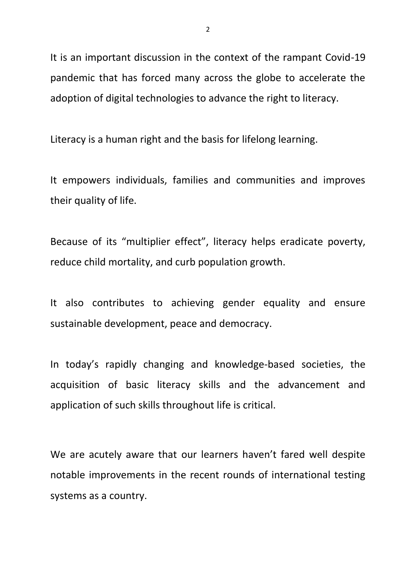It is an important discussion in the context of the rampant Covid-19 pandemic that has forced many across the globe to accelerate the adoption of digital technologies to advance the right to literacy.

Literacy is a human right and the basis for lifelong learning.

It empowers individuals, families and communities and improves their quality of life.

Because of its "multiplier effect", literacy helps eradicate poverty, reduce child mortality, and curb population growth.

It also contributes to achieving gender equality and ensure sustainable development, peace and democracy.

In today's rapidly changing and knowledge-based societies, the acquisition of basic literacy skills and the advancement and application of such skills throughout life is critical.

We are acutely aware that our learners haven't fared well despite notable improvements in the recent rounds of international testing systems as a country.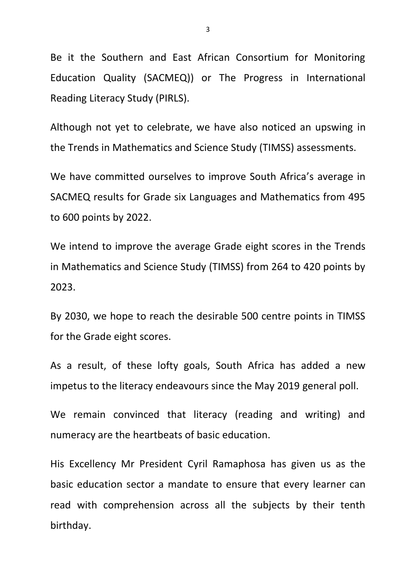Be it the Southern and East African Consortium for Monitoring Education Quality (SACMEQ)) or The Progress in International Reading Literacy Study (PIRLS).

Although not yet to celebrate, we have also noticed an upswing in the Trends in Mathematics and Science Study (TIMSS) assessments.

We have committed ourselves to improve South Africa's average in SACMEQ results for Grade six Languages and Mathematics from 495 to 600 points by 2022.

We intend to improve the average Grade eight scores in the Trends in Mathematics and Science Study (TIMSS) from 264 to 420 points by 2023.

By 2030, we hope to reach the desirable 500 centre points in TIMSS for the Grade eight scores.

As a result, of these lofty goals, South Africa has added a new impetus to the literacy endeavours since the May 2019 general poll.

We remain convinced that literacy (reading and writing) and numeracy are the heartbeats of basic education.

His Excellency Mr President Cyril Ramaphosa has given us as the basic education sector a mandate to ensure that every learner can read with comprehension across all the subjects by their tenth birthday.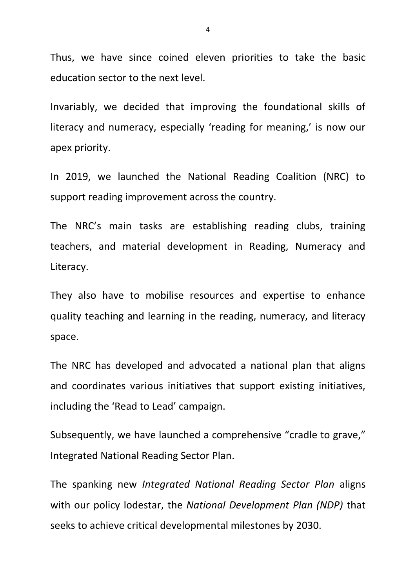Thus, we have since coined eleven priorities to take the basic education sector to the next level.

Invariably, we decided that improving the foundational skills of literacy and numeracy, especially 'reading for meaning,' is now our apex priority.

In 2019, we launched the National Reading Coalition (NRC) to support reading improvement across the country.

The NRC's main tasks are establishing reading clubs, training teachers, and material development in Reading, Numeracy and Literacy.

They also have to mobilise resources and expertise to enhance quality teaching and learning in the reading, numeracy, and literacy space.

The NRC has developed and advocated a national plan that aligns and coordinates various initiatives that support existing initiatives, including the 'Read to Lead' campaign.

Subsequently, we have launched a comprehensive "cradle to grave," Integrated National Reading Sector Plan.

The spanking new *Integrated National Reading Sector Plan* aligns with our policy lodestar, the *National Development Plan (NDP)* that seeks to achieve critical developmental milestones by 2030.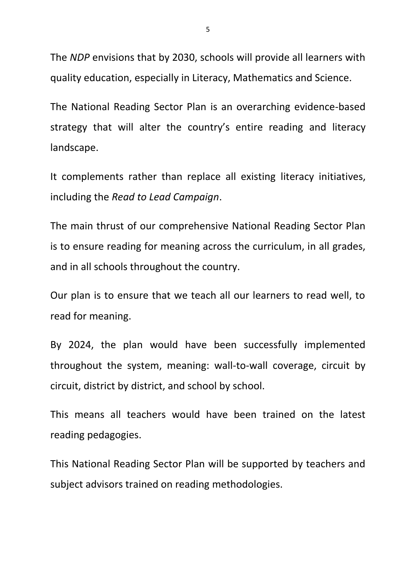The *NDP* envisions that by 2030, schools will provide all learners with quality education, especially in Literacy, Mathematics and Science.

The National Reading Sector Plan is an overarching evidence-based strategy that will alter the country's entire reading and literacy landscape.

It complements rather than replace all existing literacy initiatives, including the *Read to Lead Campaign*.

The main thrust of our comprehensive National Reading Sector Plan is to ensure reading for meaning across the curriculum, in all grades, and in all schools throughout the country.

Our plan is to ensure that we teach all our learners to read well, to read for meaning.

By 2024, the plan would have been successfully implemented throughout the system, meaning: wall-to-wall coverage, circuit by circuit, district by district, and school by school.

This means all teachers would have been trained on the latest reading pedagogies.

This National Reading Sector Plan will be supported by teachers and subject advisors trained on reading methodologies.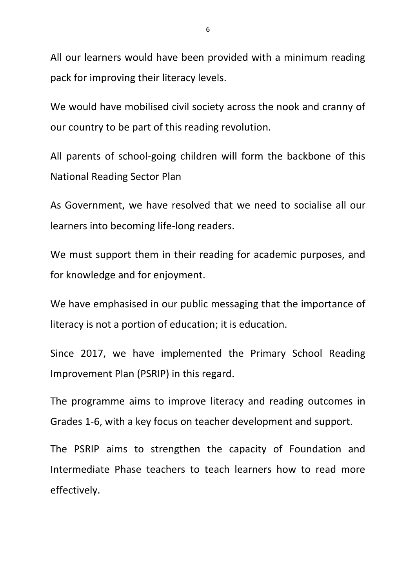All our learners would have been provided with a minimum reading pack for improving their literacy levels.

We would have mobilised civil society across the nook and cranny of our country to be part of this reading revolution.

All parents of school-going children will form the backbone of this National Reading Sector Plan

As Government, we have resolved that we need to socialise all our learners into becoming life-long readers.

We must support them in their reading for academic purposes, and for knowledge and for enjoyment.

We have emphasised in our public messaging that the importance of literacy is not a portion of education; it is education.

Since 2017, we have implemented the Primary School Reading Improvement Plan (PSRIP) in this regard.

The programme aims to improve literacy and reading outcomes in Grades 1-6, with a key focus on teacher development and support.

The PSRIP aims to strengthen the capacity of Foundation and Intermediate Phase teachers to teach learners how to read more effectively.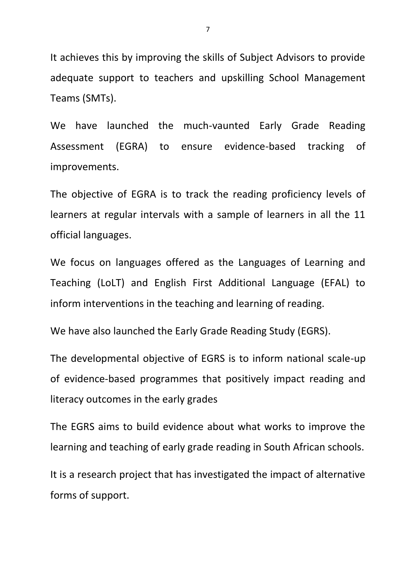It achieves this by improving the skills of Subject Advisors to provide adequate support to teachers and upskilling School Management Teams (SMTs).

We have launched the much-vaunted Early Grade Reading Assessment (EGRA) to ensure evidence-based tracking of improvements.

The objective of EGRA is to track the reading proficiency levels of learners at regular intervals with a sample of learners in all the 11 official languages.

We focus on languages offered as the Languages of Learning and Teaching (LoLT) and English First Additional Language (EFAL) to inform interventions in the teaching and learning of reading.

We have also launched the Early Grade Reading Study (EGRS).

The developmental objective of EGRS is to inform national scale-up of evidence-based programmes that positively impact reading and literacy outcomes in the early grades

The EGRS aims to build evidence about what works to improve the learning and teaching of early grade reading in South African schools.

It is a research project that has investigated the impact of alternative forms of support.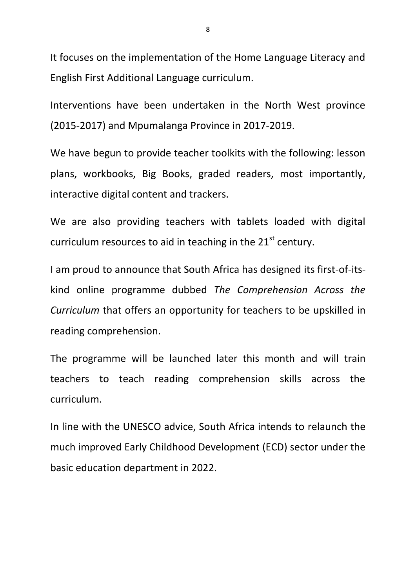It focuses on the implementation of the Home Language Literacy and English First Additional Language curriculum.

Interventions have been undertaken in the North West province (2015-2017) and Mpumalanga Province in 2017-2019.

We have begun to provide teacher toolkits with the following: lesson plans, workbooks, Big Books, graded readers, most importantly, interactive digital content and trackers.

We are also providing teachers with tablets loaded with digital curriculum resources to aid in teaching in the  $21<sup>st</sup>$  century.

I am proud to announce that South Africa has designed its first-of-itskind online programme dubbed *The Comprehension Across the Curriculum* that offers an opportunity for teachers to be upskilled in reading comprehension.

The programme will be launched later this month and will train teachers to teach reading comprehension skills across the curriculum.

In line with the UNESCO advice, South Africa intends to relaunch the much improved Early Childhood Development (ECD) sector under the basic education department in 2022.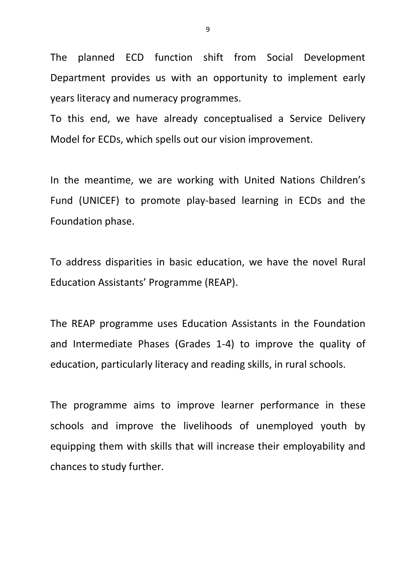The planned ECD function shift from Social Development Department provides us with an opportunity to implement early years literacy and numeracy programmes.

To this end, we have already conceptualised a Service Delivery Model for ECDs, which spells out our vision improvement.

In the meantime, we are working with United Nations Children's Fund (UNICEF) to promote play-based learning in ECDs and the Foundation phase.

To address disparities in basic education, we have the novel Rural Education Assistants' Programme (REAP).

The REAP programme uses Education Assistants in the Foundation and Intermediate Phases (Grades 1-4) to improve the quality of education, particularly literacy and reading skills, in rural schools.

The programme aims to improve learner performance in these schools and improve the livelihoods of unemployed youth by equipping them with skills that will increase their employability and chances to study further.

9